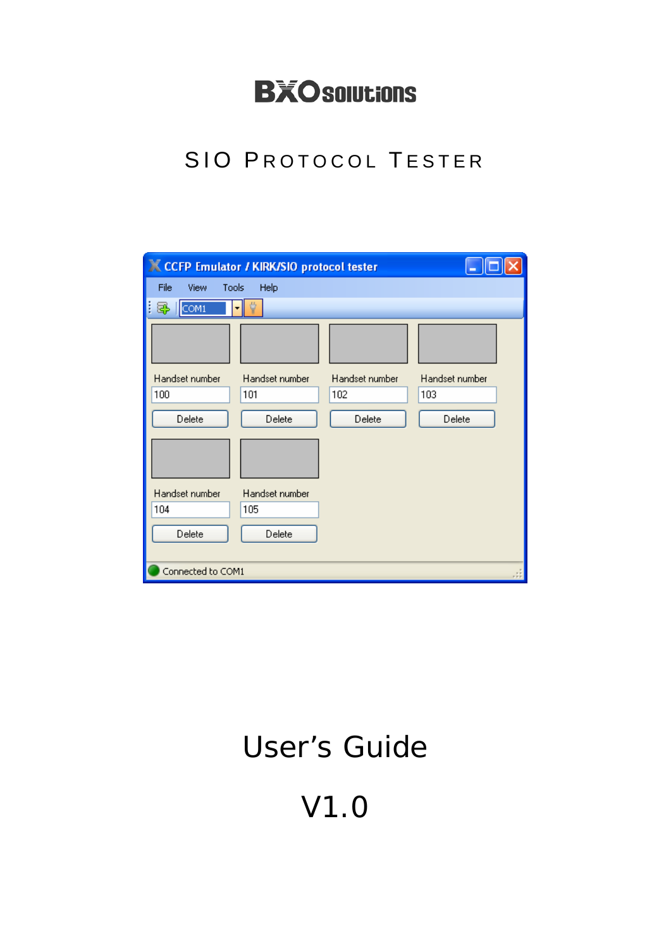## **BXOsolutions**

### SIO PROTOCOL TESTER

| <b>X CCFP Emulator / KIRK/SIO protocol tester</b> |                |                |                |  |
|---------------------------------------------------|----------------|----------------|----------------|--|
| File<br>Tools<br>View                             | Help           |                |                |  |
| E<br>COM1<br>5                                    | ٠              |                |                |  |
|                                                   |                |                |                |  |
| Handset number                                    | Handset number | Handset number | Handset number |  |
| 100                                               | 101            | 102            | 103            |  |
| Delete                                            | Delete         | Delete         | Delete         |  |
|                                                   |                |                |                |  |
| Handset number                                    | Handset number |                |                |  |
| 104                                               | 105            |                |                |  |
| Delete                                            | Delete         |                |                |  |
| Connected to COM1                                 |                |                |                |  |

# User's Guide

V1.0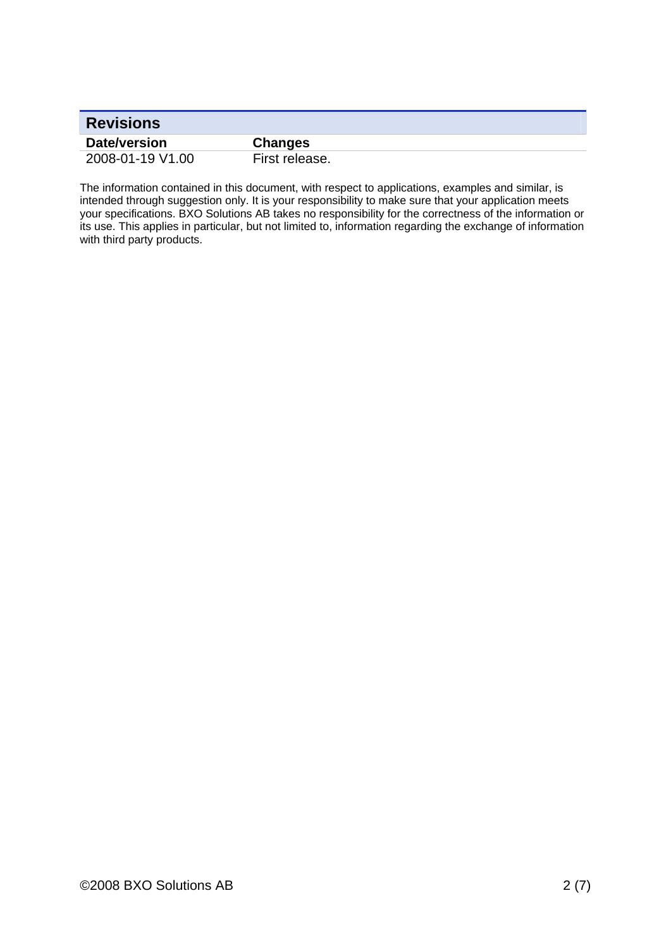| <b>Revisions</b> |                |
|------------------|----------------|
| Date/version     | <b>Changes</b> |
| 2008-01-19 V1.00 | First release. |

The information contained in this document, with respect to applications, examples and similar, is intended through suggestion only. It is your responsibility to make sure that your application meets your specifications. BXO Solutions AB takes no responsibility for the correctness of the information or its use. This applies in particular, but not limited to, information regarding the exchange of information with third party products.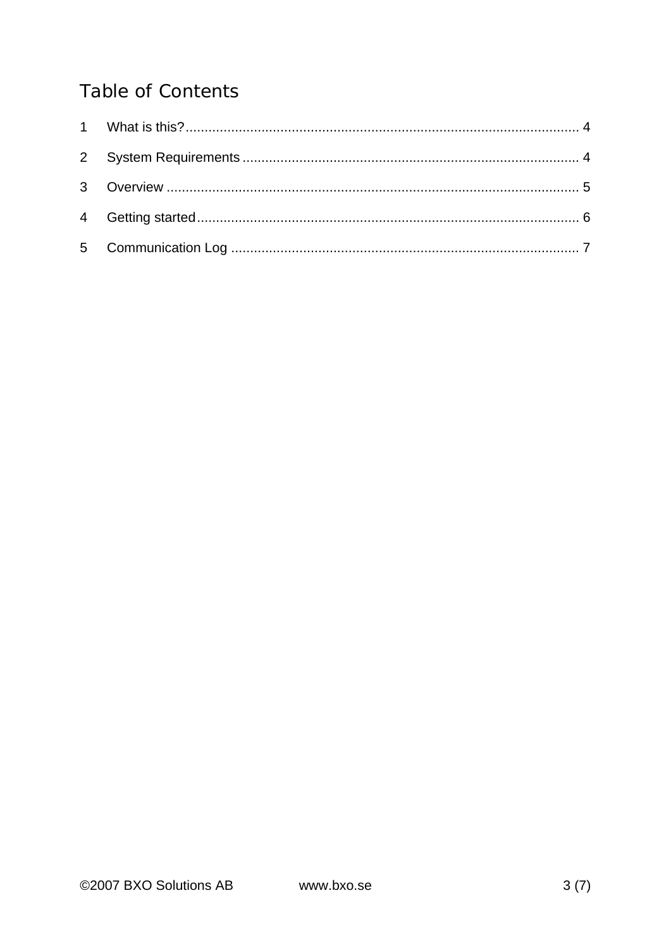#### **Table of Contents**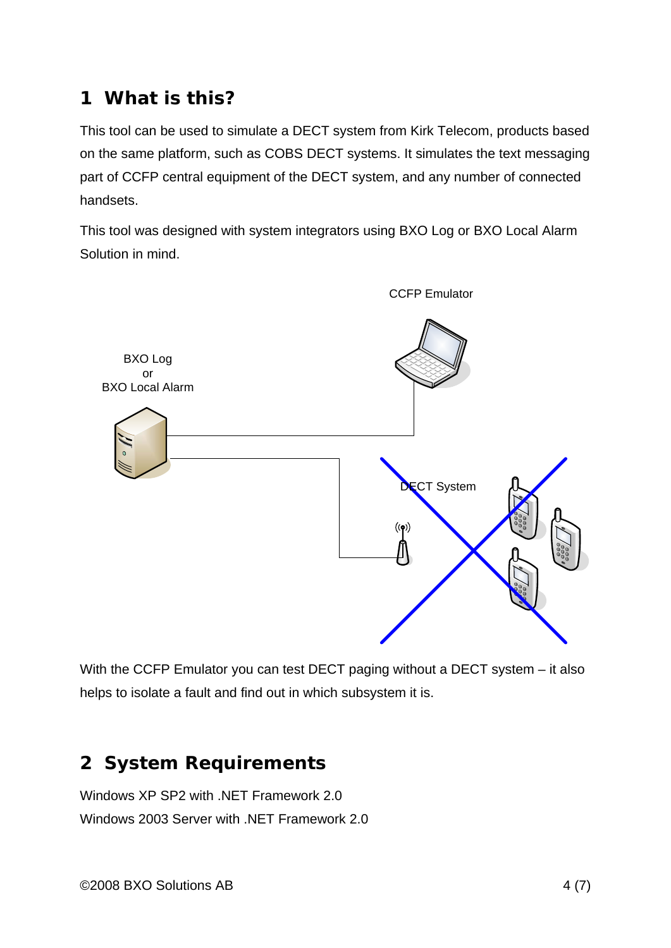#### **1 What is this?**

This tool can be used to simulate a DECT system from Kirk Telecom, products based on the same platform, such as COBS DECT systems. It simulates the text messaging part of CCFP central equipment of the DECT system, and any number of connected handsets.

This tool was designed with system integrators using BXO Log or BXO Local Alarm Solution in mind.



With the CCFP Emulator you can test DECT paging without a DECT system – it also helps to isolate a fault and find out in which subsystem it is.

#### **2 System Requirements**

Windows XP SP2 with .NET Framework 2.0 Windows 2003 Server with .NET Framework 2.0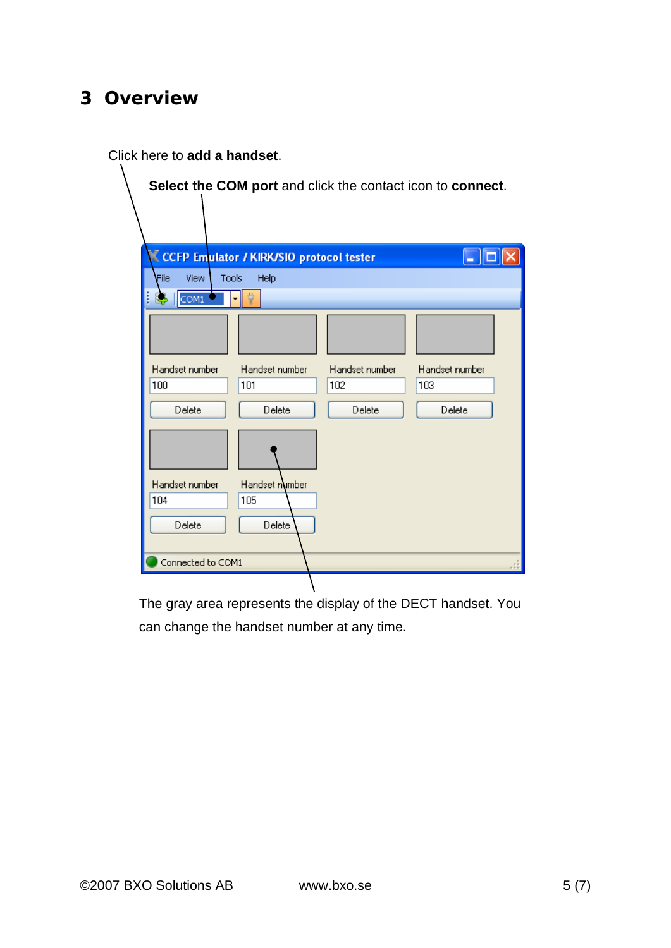#### **3 Overview**

Click here to **add a handset**.

|                              |                                                 |                | Select the COM port and click the contact icon to connect. |
|------------------------------|-------------------------------------------------|----------------|------------------------------------------------------------|
|                              |                                                 |                |                                                            |
|                              |                                                 |                |                                                            |
|                              |                                                 |                |                                                            |
|                              | <b>CCFP Emulator / KIRK/SIO protocol tester</b> |                |                                                            |
| File<br><b>Tools</b><br>View | Help                                            |                |                                                            |
| I<br>COM1<br>SP.             |                                                 |                |                                                            |
|                              |                                                 |                |                                                            |
|                              |                                                 |                |                                                            |
|                              |                                                 |                |                                                            |
| Handset number               | Handset number                                  | Handset number | Handset number                                             |
| 100                          | 101                                             | 102            | 103                                                        |
| Delete                       | Delete                                          | Delete         | Delete                                                     |
|                              |                                                 |                |                                                            |
|                              |                                                 |                |                                                            |
|                              |                                                 |                |                                                            |
| Handset number               | Handset number                                  |                |                                                            |
| 104                          | 105                                             |                |                                                            |
| Delete                       | Delete                                          |                |                                                            |
|                              |                                                 |                |                                                            |
| Connected to COM1            |                                                 |                |                                                            |
|                              |                                                 |                |                                                            |

The gray area represents the display of the DECT handset. You can change the handset number at any time.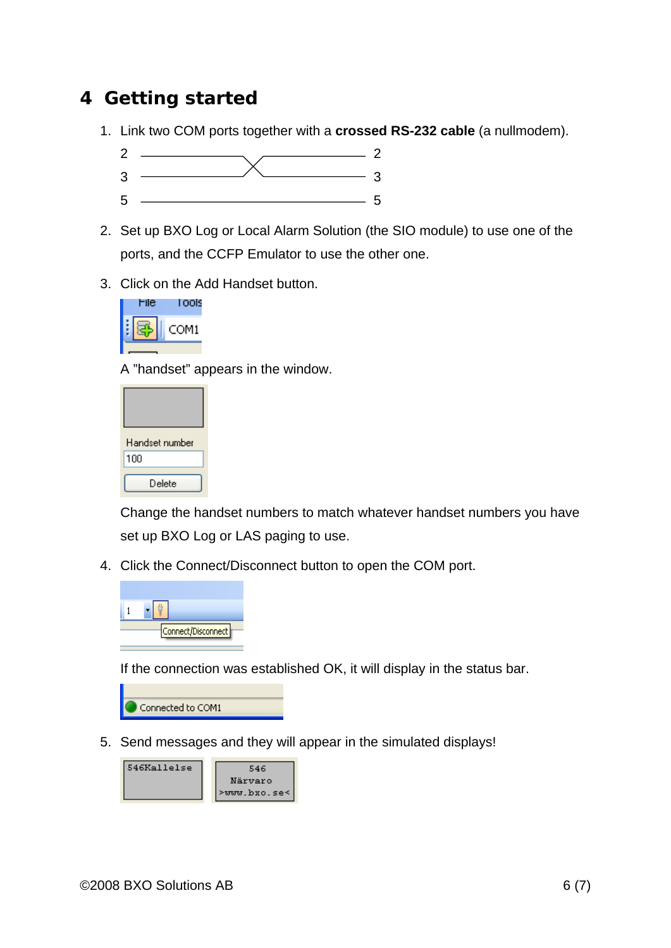#### **4 Getting started**

1. Link two COM ports together with a **crossed RS-232 cable** (a nullmodem).



- 2. Set up BXO Log or Local Alarm Solution (the SIO module) to use one of the ports, and the CCFP Emulator to use the other one.
- 3. Click on the Add Handset button.



A "handset" appears in the window.

| Handset number |  |
|----------------|--|
| 100            |  |
| Delete         |  |

Change the handset numbers to match whatever handset numbers you have set up BXO Log or LAS paging to use.

4. Click the Connect/Disconnect button to open the COM port.



If the connection was established OK, it will display in the status bar.



5. Send messages and they will appear in the simulated displays!